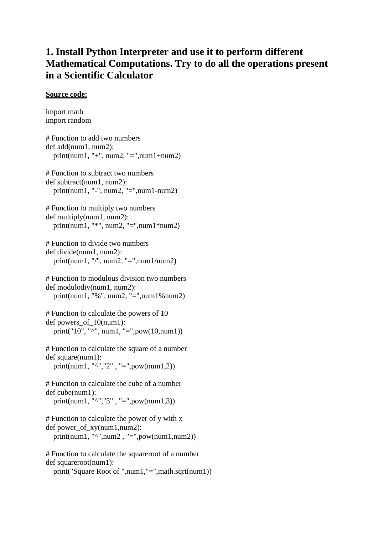# **1. Install Python Interpreter and use it to perform different Mathematical Computations. Try to do all the operations present in a Scientific Calculator**

#### **Source code:**

```
import math
import random
# Function to add two numbers 
def add(num1, num2):
   print(num1, "+", num2, "=",num1+num2)
# Function to subtract two numbers 
def subtract(num1, num2):
   print(num1, "-", num2, "=",num1-num2)
# Function to multiply two numbers 
def multiply(num1, num2):
   print(num1, "*", num2, "=",num1*num2)
# Function to divide two numbers 
def divide(num1, num2):
   print(num1, "/", num2, "=",num1/num2)
# Function to modulous division two numbers 
def modulodiv(num1, num2): 
   print(num1, "%", num2, "=",num1%num2)
# Function to calculate the powers of 10 
def powers of 10(num1):
   print("10", "^", num1, "=",pow(10,num1))
# Function to calculate the square of a number 
def square(num1): 
  print(num1, "^","2", "=",pow(num1,2))
# Function to calculate the cube of a number 
def cube(num1): 
  print(num1, "^","3", "=",pow(num1,3))
# Function to calculate the power of y with x 
def power_of_xy(num1,num2):
  print(num1, "\lambda",num2, "=",pow(num1,num2))
# Function to calculate the squareroot of a number 
def squareroot(num1): 
   print("Square Root of ",num1,"=",math.sqrt(num1))
```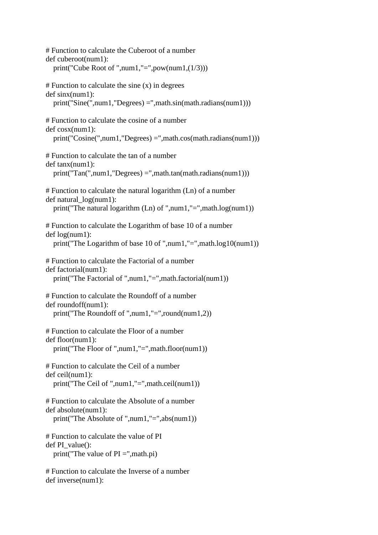| # Function to calculate the Cuberoot of a number<br>def cuberoot(num1):<br>print("Cube Root of ",num1,"=",pow(num1, $(1/3)$ ))                                   |
|------------------------------------------------------------------------------------------------------------------------------------------------------------------|
| $#$ Function to calculate the sine $(x)$ in degrees<br>$def \nsinx(num1):$<br>$print("Sine", num1," \nDegrees) =", math.sin(math. radians(num1)))$               |
| # Function to calculate the cosine of a number<br>def cosx(num1):<br>$print("Cosine", num1," Degrees) =", math.co(s, math.radians(num1)))$                       |
| # Function to calculate the tan of a number<br>def tanx(num1):<br>$print("Tan("num1," Degrees) =", math.tan(math.radians(num1)))$                                |
| # Function to calculate the natural logarithm (Ln) of a number<br>$def natural_log(num1)$ :<br>print("The natural logarithm $(Ln)$ of ",num1,"=",math.log(num1)) |
| # Function to calculate the Logarithm of base 10 of a number<br>def log(num1):<br>print("The Logarithm of base 10 of ",num1,"=",math.log10(num1))                |
| # Function to calculate the Factorial of a number<br>def factorial(num1):<br>print("The Factorial of ",num1,"=",math.factorial(num1))                            |
| # Function to calculate the Roundoff of a number<br>def roundoff(num1):<br>print("The Roundoff of ",num1,"=",round(num1,2))                                      |
| # Function to calculate the Floor of a number<br>def floor(num1):<br>print("The Floor of ",num1,"=",math.floor(num1))                                            |
| # Function to calculate the Ceil of a number<br>def ceil(num1):<br>print("The Ceil of ",num1,"=",math.ceil(num1))                                                |
| # Function to calculate the Absolute of a number<br>def absolute(num1):<br>print("The Absolute of ",num1,"=",abs(num1))                                          |
| # Function to calculate the value of PI<br>def PI_value():<br>print("The value of $PI =$ ", math.pi)                                                             |
| # Function to calculate the Inverse of a number<br>def inverse(num1):                                                                                            |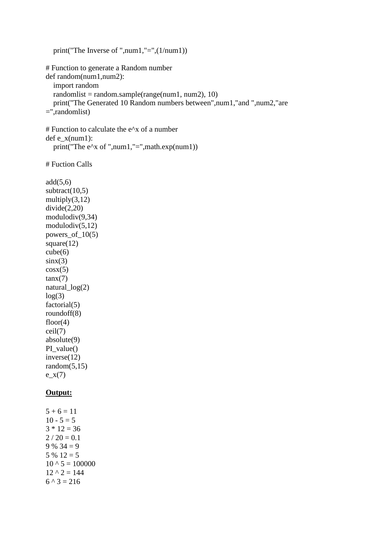```
 print("The Inverse of ",num1,"=",(1/num1))
# Function to generate a Random number 
def random(num1,num2):
   import random
  randomlist = randomsample(range(num1, num2), 10) print("The Generated 10 Random numbers between",num1,"and ",num2,"are 
=",randomlist)
# Function to calculate the e^{\Lambda}x of a number
def e_x(num1):
   print("The e^x of ",num1,"=",math.exp(num1))
# Fuction Calls
add(5,6)subtract(10,5)multiply(3,12)divide(2,20)
modulodiv(9,34)
modulodiv(5,12)powers_of10(5)square(12)cube(6)\sin x(3)cosx(5)tanx(7)natural_log(2)
log(3)factorial(5)
roundoff(8)
floor(4)ceil(7)
absolute(9)
PI_value()
inverse(12)
random(5,15)e_{X}(7)Output:
5 + 6 = 1110 - 5 = 53 * 12 = 362 / 20 = 0.19\% 34 = 9
5 \% 12 = 510 \land 5 = 10000012 \land 2 = 1446^{\text{A}}3 = 216
```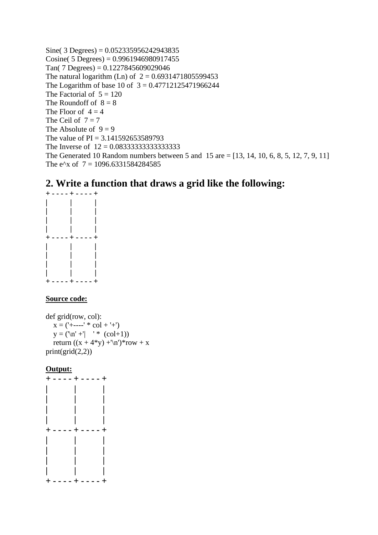Sine( $3$  Degrees) = 0.052335956242943835 Cosine( 5 Degrees) =  $0.9961946980917455$  $Tan( 7 Degrees) = 0.1227845609029046$ The natural logarithm (Ln) of  $2 = 0.6931471805599453$ The Logarithm of base 10 of  $3 = 0.47712125471966244$ The Factorial of  $5 = 120$ The Roundoff of  $8 = 8$ The Floor of  $4 = 4$ The Ceil of  $7 = 7$ The Absolute of  $9 = 9$ The value of  $PI = 3.141592653589793$ The Inverse of 12 = 0.08333333333333333 The Generated 10 Random numbers between 5 and 15 are = [13, 14, 10, 6, 8, 5, 12, 7, 9, 11] The e<sup> $\lambda$ </sup>x of 7 = 1096.6331584284585

# **2. Write a function that draws a grid like the following:**



## **Source code:**

def grid(row, col):  $x = ('+---' * col + '+')$  $y = (\ln' + \ln' + \cosh(1))$ return  $((x + 4*y) + \n\frac{n}{*row} + x)$  $print(grid(2,2))$ 

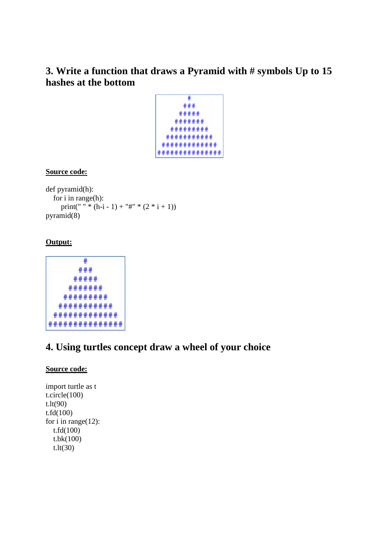# **3. Write a function that draws a Pyramid with # symbols Up to 15 hashes at the bottom**

$$
\begin{array}{r} \hline \texttt{#} \\ \texttt{#} \\ \texttt{#} \\ \texttt{#} \\ \texttt{#} \\ \texttt{#} \\ \texttt{#} \\ \texttt{#} \\ \texttt{#} \\ \texttt{#} \\ \texttt{#} \\ \texttt{#} \\ \texttt{#} \\ \texttt{#} \\ \texttt{#} \\ \texttt{#} \\ \texttt{#} \\ \texttt{#} \\ \texttt{#} \\ \texttt{#} \\ \texttt{#} \\ \texttt{#} \\ \texttt{#} \\ \texttt{#} \\ \texttt{#} \\ \texttt{#} \\ \texttt{#} \\ \texttt{#} \\ \texttt{#} \\ \texttt{#} \\ \texttt{#} \\ \texttt{#} \\ \texttt{#} \\ \texttt{#} \\ \texttt{#} \\ \texttt{#} \\ \texttt{#} \\ \texttt{#} \\ \texttt{#} \\ \texttt{#} \\ \texttt{#} \\ \texttt{#} \\ \texttt{#} \\ \texttt{#} \\ \texttt{#} \\ \texttt{#} \\ \texttt{#} \\ \texttt{#} \\ \texttt{#} \\ \texttt{#} \\ \texttt{#} \\ \texttt{#} \\ \texttt{#} \\ \texttt{#} \\ \texttt{#} \\ \texttt{#} \\ \texttt{#} \\ \texttt{#} \\ \texttt{#} \\ \texttt{#} \\ \texttt{#} \\ \texttt{#} \\ \texttt{#} \\ \texttt{#} \\ \texttt{#} \\ \texttt{#} \\ \texttt{#} \\ \texttt{#} \\ \texttt{#} \\ \texttt{#} \\ \texttt{#} \\ \texttt{#} \\ \texttt{#} \\ \texttt{#} \\ \texttt{#} \\ \texttt{#} \\ \texttt{#} \\ \texttt{#} \\ \texttt{#} \\ \texttt{#} \\ \texttt{#} \\ \texttt{#} \\ \texttt{#} \\ \texttt{#} \\ \texttt{#} \\ \texttt{#} \\ \texttt{#} \\ \texttt{#} \\ \texttt{#} \\ \texttt{#} \\ \texttt{#} \\ \texttt{#} \\ \texttt{#} \\ \texttt{#} \\ \texttt{#} \\ \texttt{#} \\ \texttt{#} \\ \texttt{#} \\ \texttt{#} \\ \texttt{#} \\ \texttt{#} \\ \texttt{#} \\ \texttt{#} \\ \texttt{#} \\ \texttt{#} \\ \texttt{#} \\ \texttt{#} \\ \
$$

## **Source code:**

def pyramid(h): for i in range(h): print(" " \*  $(h-i - 1) +$  "#" \*  $(2 * i + 1)$ ) pyramid(8)

## **Output:**

$$
^{\;+} \\
$$

# **4. Using turtles concept draw a wheel of your choice**

## **Source code:**

```
import turtle as t
t.circle(100)
t.lt(90)
t.fd(100)
for i in range(12):
   t.fd(100)
   t.bk(100)
   t.lt(30)
```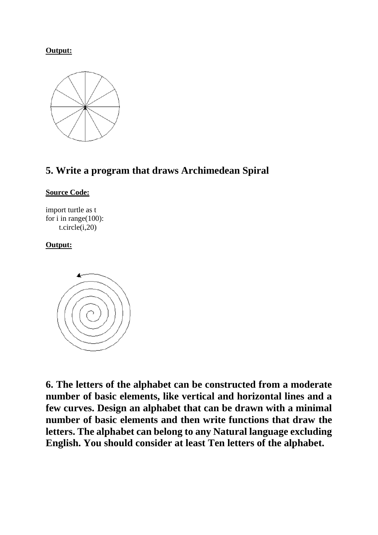

# **5. Write a program that draws Archimedean Spiral**

## **Source Code:**

import turtle as t for i in range $(100)$ : t.circle(i,20)

## **Output:**



**6. The letters of the alphabet can be constructed from a moderate number of basic elements, like vertical and horizontal lines and a few curves. Design an alphabet that can be drawn with a minimal number of basic elements and then write functions that draw the letters. The alphabet can belong to any Natural language excluding English. You should consider at least Ten letters of the alphabet.**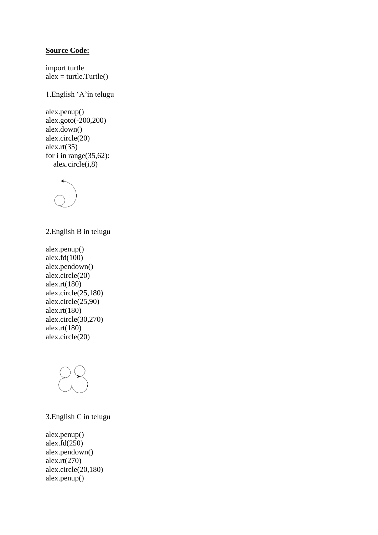#### **Source Code:**

import turtle  $\mathbf{a} \cdot \mathbf{b} = \mathbf{t}$ urtle.Turtle()

1.English 'A'in telugu

alex.penup() alex.goto(-200,200) alex.down() alex.circle(20) alex. $rt(35)$ for i in range $(35,62)$ :  $alex.circle(i,8)$ 



2.English B in telugu

alex.penup() alex.fd(100) alex.pendown() alex.circle(20) alex.rt(180) alex.circle(25,180) alex.circle(25,90) alex.rt(180) alex.circle(30,270) alex.rt(180) alex.circle(20)



3.English C in telugu

alex.penup() alex.fd $(250)$ alex.pendown() alex.rt(270) alex.circle(20,180) alex.penup()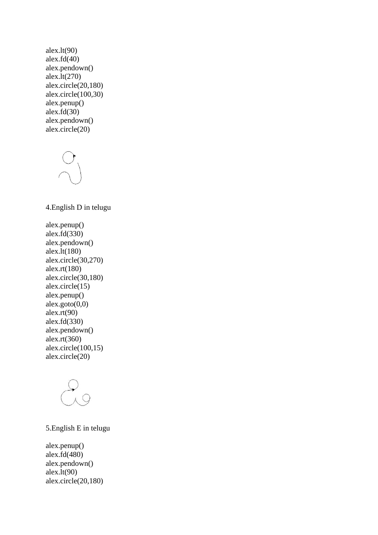alex.lt $(90)$ alex.fd $(40)$ alex.pendown() alex.lt(270) alex.circle(20,180) alex.circle(100,30) alex.penup() alex.fd $(30)$ alex.pendown() alex.circle(20)

4.English D in telugu alex.penup() alex.fd(330) alex.pendown() alex.lt(180) alex.circle(30,270) alex.rt(180) alex.circle(30,180) alex.circle(15) alex.penup() alex.goto $(0,0)$ alex.rt(90) alex.fd(330) alex.pendown() alex.rt(360) alex.circle $(100,15)$ 



alex.circle(20)

## 5.English E in telugu

alex.penup() alex.fd(480) alex.pendown() alex.lt $(90)$ alex.circle(20,180)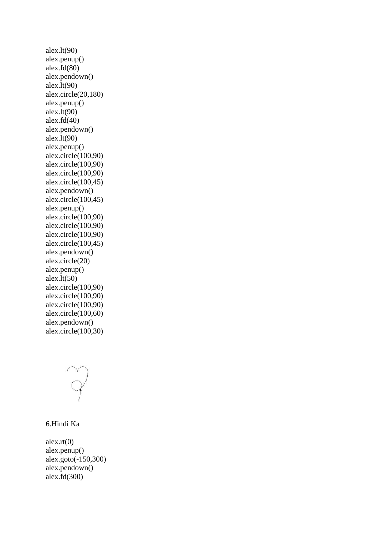alex.lt(90) alex.penup() alex.fd(80) alex.pendown() alex.lt(90) alex.circle(20,180) alex.penup() alex. $lt(90)$ alex.fd $(40)$ alex.pendown() alex. $lt(90)$ alex.penup() alex.circle(100,90) alex.circle(100,90) alex.circle(100,90) alex.circle(100,45) alex.pendown() alex.circle(100,45) alex.penup() alex.circle(100,90) alex.circle(100,90) alex.circle(100,90) alex.circle(100,45) alex.pendown() alex.circle(20) alex.penup() alex.lt $(50)$ alex.circle(100,90) alex.circle(100,90) alex.circle(100,90) alex.circle(100,60) alex.pendown() alex.circle(100,30)



6.Hindi Ka

alex. $rt(0)$ alex.penup() alex.goto(-150,300) alex.pendown() alex.fd(300)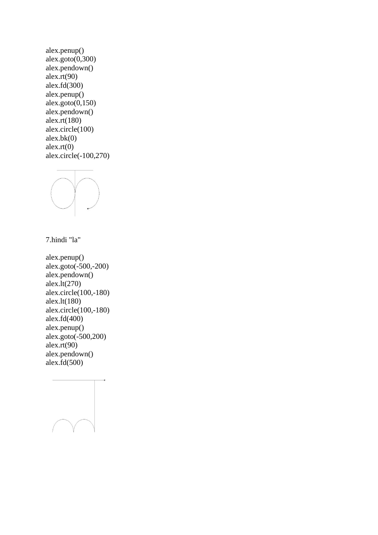alex.penup()  $ales.goto(0,300)$ alex.pendown() alex. $rt(90)$ alex.fd(300) alex.penup() alex.goto $(0,150)$ alex.pendown() alex.rt(180) alex.circle(100)  $alex.bk(0)$ alex. $rt(0)$ alex.circle(-100,270)



7.hindi "la"

alex.penup() alex.goto(-500,-200) alex.pendown() alex.lt(270) alex.circle(100,-180) alex.lt(180) alex.circle(100,-180) alex.fd $(400)$ alex.penup() alex.goto(-500,200) alex.rt(90) alex.pendown() alex.fd $(500)$ 

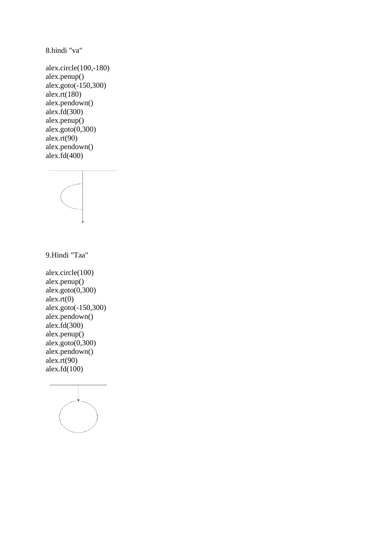8.hindi "va"

alex.circle(100,-180) alex.penup() alex.goto(-150,300) alex.rt $(180)$ alex.pendown() alex.fd $(300)$ alex.penup() alex.goto(0,300) alex. $rt(90)$ alex.pendown() alex.fd(400)



9.Hindi "Taa"

alex.circle(100) alex.penup() alex.goto $(0,300)$ alex. $rt(0)$ alex.goto(-150,300) alex.pendown() alex.fd $(300)$ alex.penup()  $ales.goto(0,300)$ alex.pendown() alex. $rt(90)$ alex.fd $(100)$ 

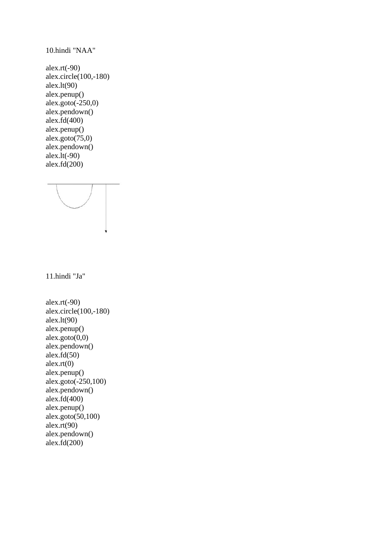alex.rt(-90) alex.circle $(100,-180)$ alex.lt(90) alex.penup() alex.goto $(-250,0)$ alex.pendown() alex.fd(400) alex.penup() alex.goto $(75,0)$ alex.pendown() alex.lt(-90) alex.fd $(200)$ 

10.hindi "NAA"

11.hindi "Ja"

alex.rt(-90) alex.circle(100,-180) alex.lt $(90)$ alex.penup() alex.goto $(0,0)$ alex.pendown() alex.fd $(50)$ alex. $rt(0)$ alex.penup() alex.goto(-250,100) alex.pendown() alex.fd(400) alex.penup() alex.goto(50,100) alex. $rt(90)$ alex.pendown() alex.fd(200)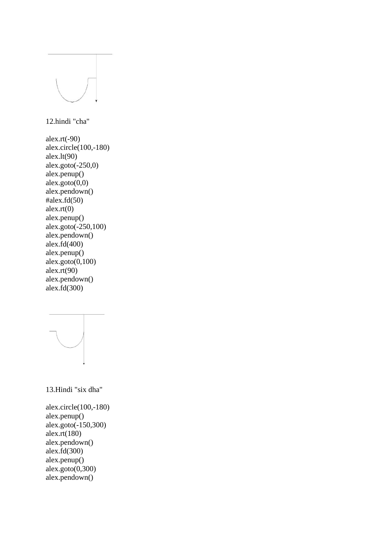

12.hindi "cha"

alex.rt(-90) alex.circle(100,-180) alex.lt $(90)$ alex.goto $(-250,0)$ alex.penup() alex.goto(0,0) alex.pendown()  $\text{false}x.fd(50)$  $a$ lex.rt $(0)$ alex.penup() alex.goto(-250,100) alex.pendown() alex.fd $(400)$ alex.penup() alex.goto $(0,100)$ alex. $rt(90)$ alex.pendown() alex.fd(300)



13.Hindi "six dha"

alex.circle(100,-180) alex.penup() alex.goto(-150,300) alex.rt(180) alex.pendown() alex. $\dot{f}d(300)$ alex.penup() alex.goto $(0,300)$ alex.pendown()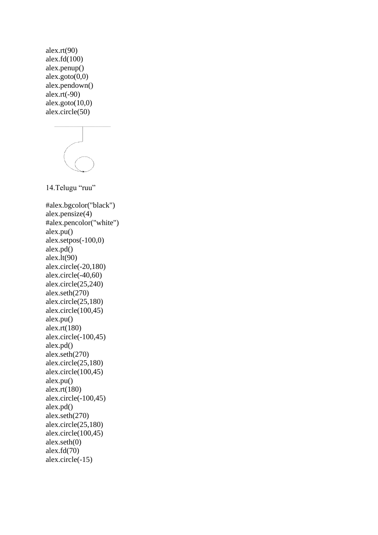alex.rt(90) alex.fd $(100)$ alex.penup()  $ales.goto(0,0)$ alex.pendown() alex. $rt(-90)$ alex.goto $(10,0)$ alex.circle(50)

14.Telugu "ruu"

#alex.bgcolor("black") alex.pensize(4) #alex.pencolor("white") alex.pu() alex.setpos(-100,0) alex.pd() alex.lt $(90)$ alex.circle(-20,180) alex.circle(-40,60) alex.circle(25,240) alex.seth(270) alex.circle(25,180) alex.circle(100,45) alex.pu() alex.rt(180) alex.circle(-100,45) alex.pd() alex.seth(270) alex.circle(25,180) alex.circle(100,45) alex.pu() alex.rt(180) alex.circle(-100,45) alex.pd() alex.seth(270) alex.circle(25,180) alex.circle(100,45) alex.seth(0) alex.fd(70) alex.circle(-15)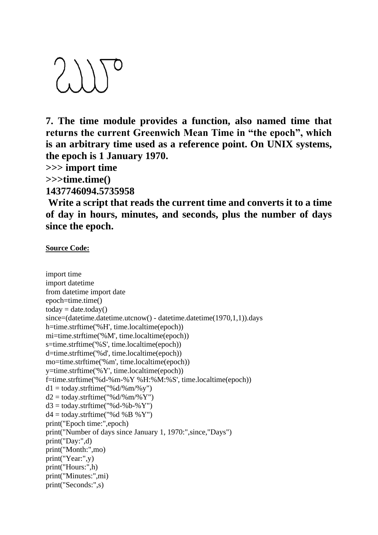

**7. The time module provides a function, also named time that returns the current Greenwich Mean Time in "the epoch", which is an arbitrary time used as a reference point. On UNIX systems, the epoch is 1 January 1970.**

**>>> import time**

**>>>time.time()**

**1437746094.5735958**

**Write a script that reads the current time and converts it to a time of day in hours, minutes, and seconds, plus the number of days since the epoch.**

**Source Code:**

```
import time
import datetime
from datetime import date
epoch=time.time()
today = date.toString()since=(datetime.datetime.utcnow() - datetime.datetime(1970,1,1)).days
h=time.strftime('%H', time.localtime(epoch))
mi=time.strftime('%M', time.localtime(epoch))
s=time.strftime('%S', time.localtime(epoch))
d=time.strftime('%d', time.localtime(epoch))
mo=time.strftime('%m', time.localtime(epoch))
y=time.strftime('%Y', time.localtime(epoch))
f=time.strftime('%d-%m-%Y %H:%M:%S', time.localtime(epoch))
d1 = \text{today.strftime} ("%d/%m/%v")
d2 = \text{today.strftime}("\%d/\%m/\%Y")d3 = today.strftime("%d-%b-%Y")
d4 = \text{today}. \text{strtime}("%d %B %Y")print("Epoch time:",epoch)
print("Number of days since January 1, 1970:",since,"Days")
print("Day:",d)
print("Month:",mo)
print("Year:",y)
print("Hours:",h)
print("Minutes:",mi)
print("Seconds:",s)
```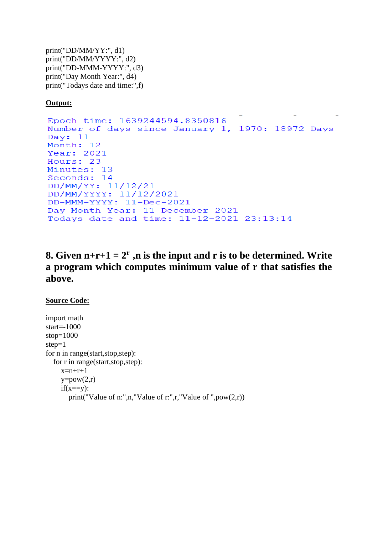print("DD/MM/YY:", d1) print("DD/MM/YYYY:", d2) print("DD-MMM-YYYY:", d3) print("Day Month Year:", d4) print("Todays date and time:",f)

## **Output:**

```
Epoch time: 1639244594.8350816
Number of days since January 1, 1970: 18972 Days
Day: 11
Month: 12
Year: 2021
Hours: 23
Minutes: 13
Seconds: 14
DD/MM/YY: 11/12/21
DD/MM/YYYY: 11/12/2021
DD-MMM-YYYY: 11-Dec-2021
Day Month Year: 11 December 2021
Todays date and time: 11-12-2021 23:13:14
```
# **8.** Given  $n+r+1 = 2^r$ , n is the input and r is to be determined. Write **a program which computes minimum value of r that satisfies the above.**

## **Source Code:**

import math start= $-1000$ stop=1000 step=1 for n in range(start,stop,step): for r in range(start,stop,step):  $x=n+r+1$  $y=pow(2,r)$  $if(x==y):$ print("Value of n:",n,"Value of r:",r,"Value of ", $pow(2,r)$ )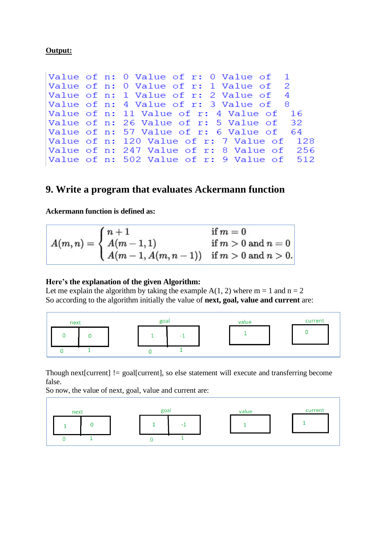| Value of n: 0 Value of r: 0 Value of $\:$ 1    |
|------------------------------------------------|
| Value of $n: 0$ Value of $r: 1$ Value of 2     |
| Value of n: 1 Value of r: 2 Value of 4         |
| Value of n: 4 Value of r: 3 Value of 8         |
| Value of n: 11 Value of r: 4 Value of 16       |
| Value of n: 26 Value of r: 5 Value of 32       |
| Value of n: 57 Value of r: 6 Value of 64       |
| Value of n: 120 Value of r: 7 Value of 128     |
| Value of $n: 247$ Value of $r: 8$ Value of 256 |
| Value of $n: 502$ Value of $r: 9$ Value of 512 |
|                                                |

# **9. Write a program that evaluates Ackermann function**

#### **Ackermann function is defined as:**

$$
A(m,n)=\begin{cases} n+1 & \text{if } m=0\\ A(m-1,1) & \text{if } m>0 \text{ and } n=0\\ A(m-1,A(m,n-1)) & \text{if } m>0 \text{ and } n>0.\end{cases}
$$

#### **Here's the explanation of the given Algorithm:**

Let me explain the algorithm by taking the example  $A(1, 2)$  where  $m = 1$  and  $n = 2$ So according to the algorithm initially the value of **next, goal, value and current** are:



Though next[current] != goal[current], so else statement will execute and transferring become false.

So now, the value of next, goal, value and current are:

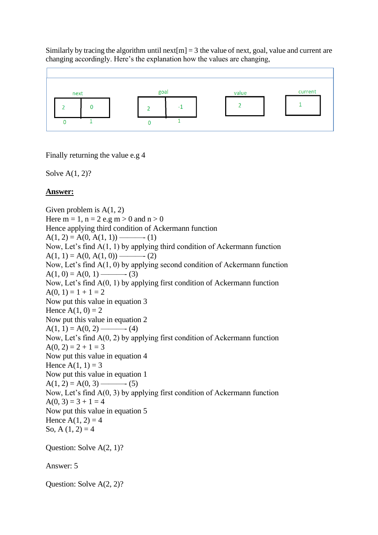Similarly by tracing the algorithm until next $[m] = 3$  the value of next, goal, value and current are changing accordingly. Here's the explanation how the values are changing,



Finally returning the value e.g 4

Solve A(1, 2)?

## **Answer:**

Given problem is  $A(1, 2)$ Here  $m = 1$ ,  $n = 2$  e.g  $m > 0$  and  $n > 0$ Hence applying third condition of Ackermann function A(1, 2) = A(0, A(1, 1)) ———- (1) Now, Let's find A(1, 1) by applying third condition of Ackermann function A(1, 1) = A(0, A(1, 0)) ———- (2) Now, Let's find A(1, 0) by applying second condition of Ackermann function A(1, 0) = A(0, 1) ———- (3) Now, Let's find A(0, 1) by applying first condition of Ackermann function  $A(0, 1) = 1 + 1 = 2$ Now put this value in equation 3 Hence  $A(1, 0) = 2$ Now put this value in equation 2 A(1, 1) = A(0, 2) ———- (4) Now, Let's find A(0, 2) by applying first condition of Ackermann function  $A(0, 2) = 2 + 1 = 3$ Now put this value in equation 4 Hence  $A(1, 1) = 3$ Now put this value in equation 1 A(1, 2) = A(0, 3) ———- (5) Now, Let's find A(0, 3) by applying first condition of Ackermann function  $A(0, 3) = 3 + 1 = 4$ Now put this value in equation 5 Hence  $A(1, 2) = 4$ So, A  $(1, 2) = 4$ Question: Solve A(2, 1)? Answer: 5

Question: Solve A(2, 2)?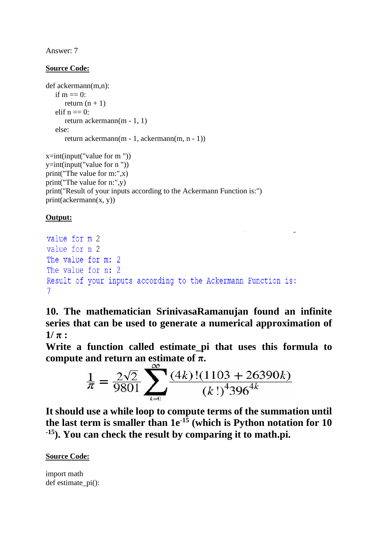Answer: 7

## **Source Code:**

```
def ackermann(m,n):
   if m == 0:
      return (n + 1)elif n == 0:
       return ackermann(m - 1, 1)
   else:
       return ackermann(m - 1, ackermann(m, n - 1))
```

```
x=int(input("value for m")))y=int(input("value for n "))
print("The value for m:",x)
print("The value for n:",y)
print("Result of your inputs according to the Ackermann Function is:")
print(ackerman(x, y))
```
## **Output:**

```
value for m 2
value for n 2
The value for m: 2
The value for n: 2
Result of your inputs according to the Ackermann Function is:
7
```
**10. The mathematician SrinivasaRamanujan found an infinite series that can be used to generate a numerical approximation of**   $1/\pi$ :

**Write a function called estimate\_pi that uses this formula to compute and return an estimate of**  $π$ **.** 

$$
\frac{1}{\pi} = \frac{2\sqrt{2}}{9801} \sum_{k=0}^{\infty} \frac{(4k)!(1103 + 26390k)}{(k!)^4 396^{4k}}
$$

**It should use a while loop to compute terms of the summation until the last term is smaller than 1e-15 (which is Python notation for 10 -15). You can check the result by comparing it to math.pi.**

**Source Code:**

import math def estimate pi():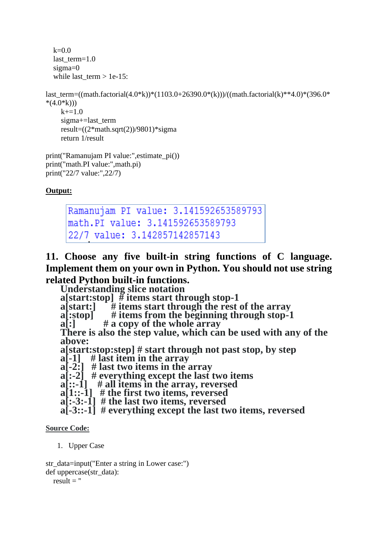```
k=0.0last term=1.0 sigma=0
while last term > 1e-15:
```

```
last term=((math.factorial(4.0*k))*(1103.0+26390.0*(k)))/((math.factorial(k)**4.0)*(396.0*
*(4.0 * k))k+=1.0 sigma+=last_term
     result=((2*mathsf{math}.sqrt(2))/9801)*sigma return 1/result
```

```
print("Ramanujam PI value:",estimate_pi())
print("math.PI value:",math.pi)
print("22/7 value:",22/7)
```

```
Ramanujam PI value: 3.141592653589793
math.PI value: 3.141592653589793
22/7 value: 3.142857142857143
```
**11. Choose any five built-in string functions of C language. Implement them on your own in Python. You should not use string related Python built-in functions.**

**Understanding slice notation**

**a[start:stop] # items start through stop-1**

**a[start:] # items start through the rest of the array**

 $\mathbf{a}$ [:stop] # items from the beginning through stop-1  $\mathbf{a}$ [:] # a copy of the whole array

**a[:] # a copy of the whole array**

**There is also the step value, which can be used with any of the above:**

**a[start:stop:step] # start through not past stop, by step**

**a[-1] # last item in the array**

**a[-2:] # last two items in the array**

**a[:-2] # everything except the last two items**

**a[::-1] # all items in the array, reversed**

**a[1::-1] # the first two items, reversed**

**a[:-3:-1] # the last two items, reversed**

**a[-3::-1] # everything except the last two items, reversed**

## **Source Code:**

1. Upper Case

str\_data=input("Enter a string in Lower case:") def uppercase(str\_data):

result  $=$  "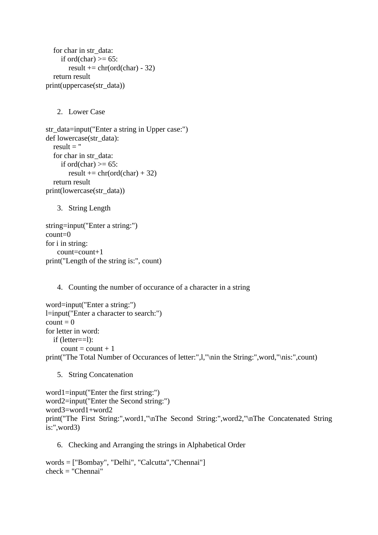```
 for char in str_data:
     if ord(char) >= 65:
       result += chr(ord(char) - 32)
   return result
print(uppercase(str_data))
```
2. Lower Case

```
str_data=input("Enter a string in Upper case:")
def lowercase(str_data):
  result = "
   for char in str_data:
     if ord(char) \geq 65:
       result += chr(ord(char) +32)
   return result
print(lowercase(str_data))
```
3. String Length

```
string=input("Enter a string:")
count=0
for i in string:
    count=count+1
print("Length of the string is:", count)
```
#### 4. Counting the number of occurance of a character in a string

```
word=input("Enter a string:")
l=input("Enter a character to search:")
count = 0for letter in word:
   if (letter==l):
     count = count + 1print("The Total Number of Occurances of letter:",l,"\nin the String:",word,"\nis:",count)
```
5. String Concatenation

```
word1=input("Enter the first string:")
word2=input("Enter the Second string:")
word3=word1+word2
print("The First String:",word1,"\nThe Second String:",word2,"\nThe Concatenated String 
is:",word3)
```
6. Checking and Arranging the strings in Alphabetical Order

```
words = ["Bombay", "Delhi", "Calcutta","Chennai"]
check = "Chennai"
```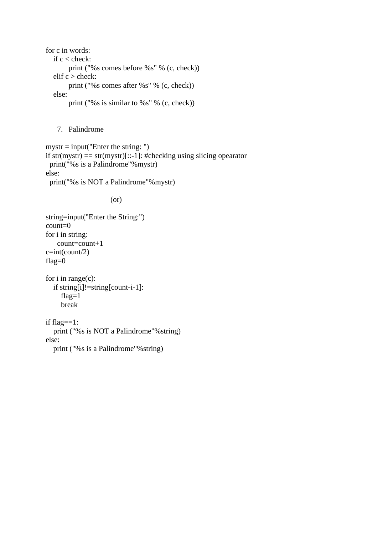for c in words: if c < check: print ("%s comes before %s" % (c, check)) elif c > check: print ("%s comes after %s" % (c, check)) else: print ("%s is similar to %s" % (c, check))

7. Palindrome

```
mystr = input("Enter the string:")if str(mystr) = str(mystr)[::-1]: #checking using slicing opearator
  print("%s is a Palindrome"%mystr)
else:
  print("%s is NOT a Palindrome"%mystr)
```
(or)

```
string=input("Enter the String:")
count=0
for i in string:
    count=count+1
c=int(count/2)flag=0
```

```
for i in range(c):
   if string[i]!=string[count-i-1]:
      flag=1
      break
```
if flag==1: print ("%s is NOT a Palindrome"%string) else: print ("%s is a Palindrome"%string)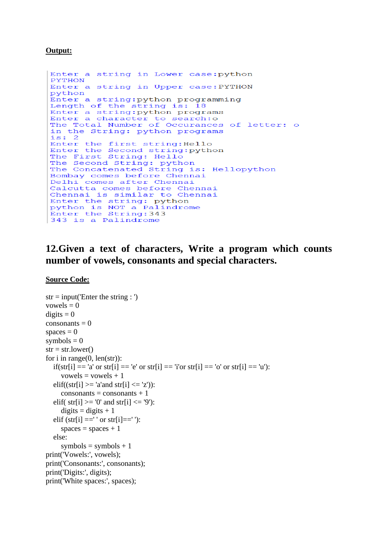```
Enter a string in Lower case: python
PYTHON
Enter a string in Upper case: PYTHON
python
Enter a string: python programming
Length of the string is: 18
Enter a string: python programs<br>Enter a character to search: o
The Total Number of Occurances of letter: o
in the String: python programs
i \leq 2Enter the first string: Hello<br>Enter the Second string: python<br>The First String: Hello
The Second String: python
The Concatenated String is: Hellopython
Bombay comes before Chennai
Delhi comes after Chennai
Calcutta comes before Chennai
Chennai is similar to Chennai
Enter the string: python
python is NOT a Palindrome<br>Enter the String: 343
343 is a Palindrome
```
# **12.Given a text of characters, Write a program which counts number of vowels, consonants and special characters.**

#### **Source Code:**

```
str = input('Enter the string :')vowels = 0digits = 0consonants = 0spaces = 0symbols = 0str = str.lower()for i in range(0, len(str)):
  if(str[i] == 'a' or str[i] == 'e' or str[i] == 'i'or str[i] == 'o' or str[i] == 'u'):
     vowels = vowels + 1elif((str[i] >= 'a'and str[i] <= 'z')):
     consonants = consonants + 1elif( str[i] >= 0' and str[i] <= 9'):
     digits = digits + 1elif (str[i] == ' or str[i] == ' :
     spaces = spaces + 1 else:
     symbols = symbols + 1print('Vowels:', vowels);
print('Consonants:', consonants);
print('Digits:', digits);
print('White spaces:', spaces);
```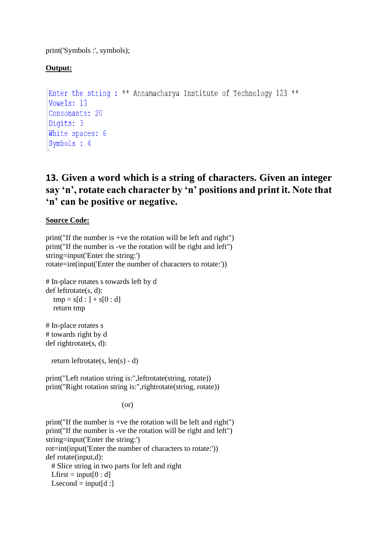print('Symbols :', symbols);

## **Output:**

```
Enter the string: ** Annamacharya Institute of Technology 123 **
Vowels: 13
Consonants: 20
Digits: 3
White spaces: 6
Symbols : 4
```
# **13. Given a word which is a string of characters. Given an integer say 'n', rotate each character by 'n' positions and print it. Note that 'n' can be positive or negative.**

## **Source Code:**

```
print("If the number is +ve the rotation will be left and right")
print("If the number is -ve the rotation will be right and left")
string=input('Enter the string:')
rotate=int(input('Enter the number of characters to rotate:'))
# In-place rotates s towards left by d
def leftrotate(s, d):
  tmp = s[d : ] + s[0 : d] return tmp
# In-place rotates s 
# towards right by d
def rightrotate(s, d):
  return leftrotate(s, len(s) - d)
print("Left rotation string is:",leftrotate(string, rotate))
print("Right rotation string is:",rightrotate(string, rotate))
                           (or)
print("If the number is +ve the rotation will be left and right")
```
print("If the number is -ve the rotation will be right and left") string=input('Enter the string:') rot=int(input('Enter the number of characters to rotate:')) def rotate(input,d): # Slice string in two parts for left and right Lfirst = input $[0:d]$ Lsecond  $=$  input[d :]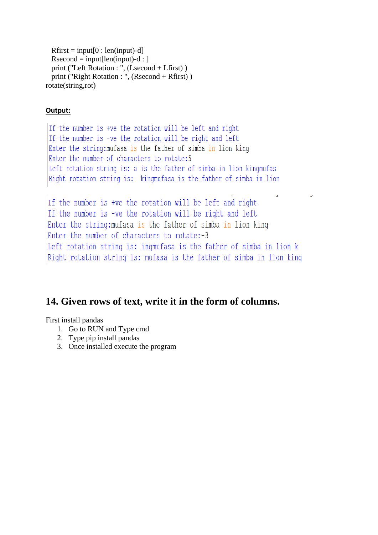```
Rfirst = input[0:len(input)-d]Rsecond = input[len(input)-d: ] print ("Left Rotation : ", (Lsecond + Lfirst) )
  print ("Right Rotation : ", (Rsecond + Rfirst) )
rotate(string,rot)
```

```
If the number is +ve the rotation will be left and right
If the number is -ve the rotation will be right and left
Enter the string: mufasa is the father of simba in lion king
Enter the number of characters to rotate: 5
Left rotation string is: a is the father of simba in lion kingmufas
Right rotation string is: kingmufasa is the father of simba in lion
```

```
If the number is +ve the rotation will be left and right
If the number is -ve the rotation will be right and left
Enter the string: mufasa is the father of simba in lion king
Enter the number of characters to rotate:-3
Left rotation string is: ingmufasa is the father of simba in lion k
Right rotation string is: mufasa is the father of simba in lion king
```
 $\overline{a}$ 

# **14. Given rows of text, write it in the form of columns.**

First install pandas

- 1. Go to RUN and Type cmd
- 2. Type pip install pandas
- 3. Once installed execute the program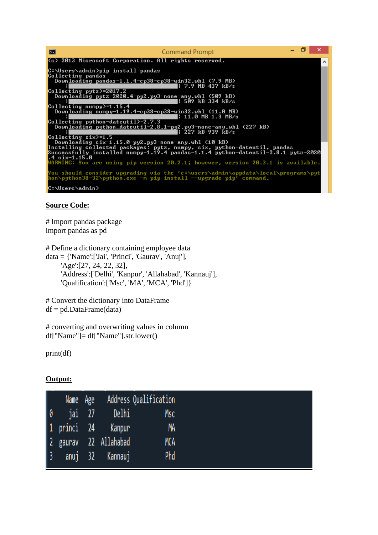

## **Source Code:**

# Import pandas package import pandas as pd

# Define a dictionary containing employee data  $data = \{ 'Name': [Jai', 'Princi', 'Gaurav', 'Anuj' ],$  'Age':[27, 24, 22, 32], 'Address':['Delhi', 'Kanpur', 'Allahabad', 'Kannauj'], 'Qualification':['Msc', 'MA', 'MCA', 'Phd']}

# Convert the dictionary into DataFrame  $df = pd$ .DataFrame(data)

# converting and overwriting values in column df["Name"]= df["Name"].str.lower()

print(df)

|           | Name Age<br>0 jai 27<br>1 princi 24 |                       | Name Age Address Qualification |
|-----------|-------------------------------------|-----------------------|--------------------------------|
|           |                                     | Delhi                 | Msc                            |
|           |                                     | Kanpur                | MA                             |
|           |                                     | 2 gaurav 22 Allahabad | MCA                            |
| $\vert$ 3 |                                     | anuj 32 Kannauj       | Phd                            |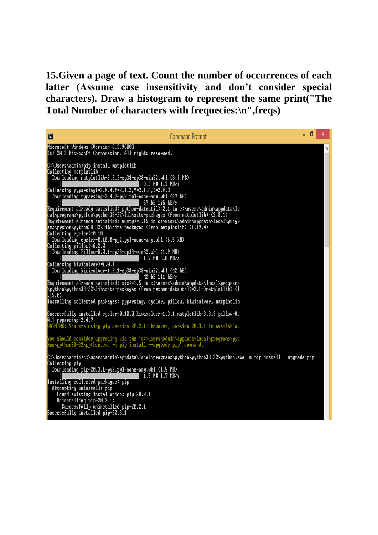**15.Given a page of text. Count the number of occurrences of each latter (Assume case insensitivity and don't consider special characters). Draw a histogram to represent the same print("The Total Number of characters with frequecies:\n",freqs)**

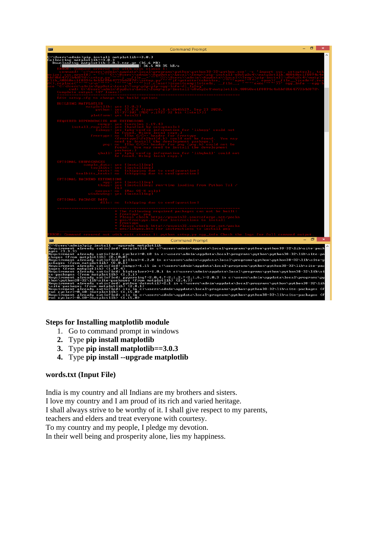| <b>BU</b>                                                                                                                                                          | <b>Command Prompt</b>                                                                                                                                                                                                                                                                                                                                                                                                                                                                                                                                                                                                                                        | Θ<br>×                          |
|--------------------------------------------------------------------------------------------------------------------------------------------------------------------|--------------------------------------------------------------------------------------------------------------------------------------------------------------------------------------------------------------------------------------------------------------------------------------------------------------------------------------------------------------------------------------------------------------------------------------------------------------------------------------------------------------------------------------------------------------------------------------------------------------------------------------------------------------|---------------------------------|
| C:\Users\admin>pip install matplotlib==3.0.3<br>Collecting matplotlib==3.0.3<br>  Down <u>loading matplotlib-3.0.3.tar.gz (</u> 36 <sub>:</sub> 6 <sub>.</sub> MB) | 1 36.6 MB 35 kB/s                                                                                                                                                                                                                                                                                                                                                                                                                                                                                                                                                                                                                                            |                                 |
|                                                                                                                                                                    |                                                                                                                                                                                                                                                                                                                                                                                                                                                                                                                                                                                                                                                              |                                 |
|                                                                                                                                                                    |                                                                                                                                                                                                                                                                                                                                                                                                                                                                                                                                                                                                                                                              |                                 |
|                                                                                                                                                                    |                                                                                                                                                                                                                                                                                                                                                                                                                                                                                                                                                                                                                                                              |                                 |
| install                                                                                                                                                            | could pot                                                                                                                                                                                                                                                                                                                                                                                                                                                                                                                                                                                                                                                    |                                 |
| mhu 11                                                                                                                                                             | could pot                                                                                                                                                                                                                                                                                                                                                                                                                                                                                                                                                                                                                                                    |                                 |
|                                                                                                                                                                    |                                                                                                                                                                                                                                                                                                                                                                                                                                                                                                                                                                                                                                                              |                                 |
|                                                                                                                                                                    | un-time loading from Puthon Tcl $\angle$<br>allingi                                                                                                                                                                                                                                                                                                                                                                                                                                                                                                                                                                                                          |                                 |
|                                                                                                                                                                    | oing due to configuration                                                                                                                                                                                                                                                                                                                                                                                                                                                                                                                                                                                                                                    |                                 |
|                                                                                                                                                                    |                                                                                                                                                                                                                                                                                                                                                                                                                                                                                                                                                                                                                                                              |                                 |
|                                                                                                                                                                    |                                                                                                                                                                                                                                                                                                                                                                                                                                                                                                                                                                                                                                                              |                                 |
| <b>CENT</b>                                                                                                                                                        | <b>Command Prompt</b>                                                                                                                                                                                                                                                                                                                                                                                                                                                                                                                                                                                                                                        | $\Box$<br>$\mathbb{R}^{\times}$ |
| ages (3.3.3)                                                                                                                                                       | C:\Users\admin>pip_install --upgrade_matplotlib<br>Requirement already satisfied: matplotlib_in c:\users\admin\appdata\local\programs\python\python38-32\lib\site-pack<br>syes \\ocal_<br>ckages \from matplotlib) \6.10.09<br>ckages \from matplotlib) \6.10.09<br>Requirement already satisfied: pillow>=6.2.0 in c:\users\admin\appdata\local\programs\python\python38-32\lib\site-pa<br>Requirement already sati<br>ackages (from matplotlib) (8.0.1)<br>Requirement already satisfied: six in c:\users\admin\appdata\local\programs\python\python38-32\lib\site-p<br>Requirement already satisfied: humpy>=1.15 in c:\users\admin\appdata\local\program |                                 |

#### **Steps for Installing matplotlib module**

- 1. Go to command prompt in windows
- **2.** Type **pip install matplotlib**
- **3.** Type **pip install matplotlib==3.0.3**
- **4.** Type **pip install --upgrade matplotlib**

#### **words.txt (Input File)**

India is my country and all Indians are my brothers and sisters. I love my country and I am proud of its rich and varied heritage. I shall always strive to be worthy of it. I shall give respect to my parents, teachers and elders and treat everyone with courtesy. To my country and my people, I pledge my devotion. In their well being and prosperity alone, lies my happiness.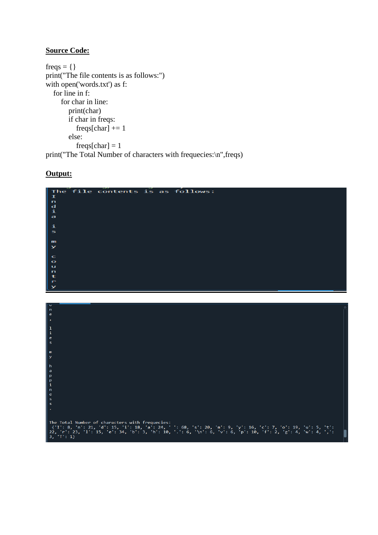## **Source Code:**

freqs =  $\{ \}$ print("The file contents is as follows:") with open('words.txt') as f: for line in f: for char in line: print(char) if char in freqs:  $freqs[char] += 1$  else:  $freqs[char] = 1$ print("The Total Number of characters with frequecies:\n",freqs)



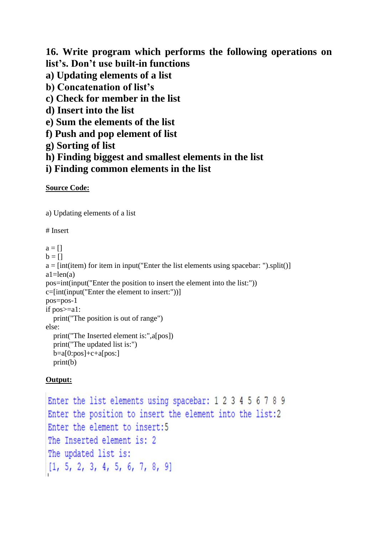**16. Write program which performs the following operations on list's. Don't use built-in functions**

- **a) Updating elements of a list**
- **b) Concatenation of list's**
- **c) Check for member in the list**
- **d) Insert into the list**
- **e) Sum the elements of the list**
- **f) Push and pop element of list**
- **g) Sorting of list**
- **h) Finding biggest and smallest elements in the list**
- **i) Finding common elements in the list**

## **Source Code:**

a) Updating elements of a list

## # Insert

 $a = \lceil \rceil$  $b = \lceil \rceil$  $a = [int(item) for item in input("Enter the list elements using spacebar:").split()$  $a1 = len(a)$ pos=int(input("Enter the position to insert the element into the list:")) c=[int(input("Enter the element to insert:"))] pos=pos-1 if pos>=a1: print("The position is out of range") else: print("The Inserted element is:",a[pos]) print("The updated list is:")  $b=a[0:pos]+c+a[pos:]$ print(b)

```
Enter the list elements using spacebar: 1 2 3 4 5 6 7 8 9
Enter the position to insert the element into the list:2
Enter the element to insert:5
The Inserted element is: 2
The updated list is:
[1, 5, 2, 3, 4, 5, 6, 7, 8, 9]
```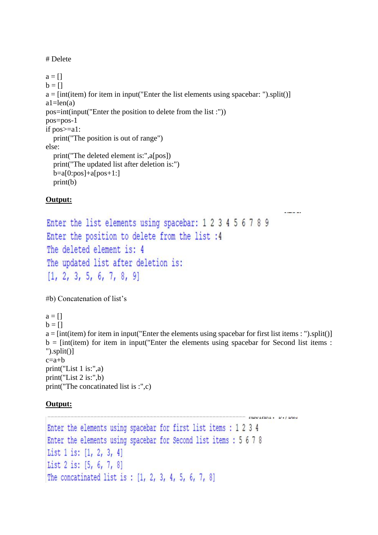# Delete

 $a = []$  $b = \lceil \rceil$  $a = [int(item) for item in input("Enter the list elements using spacebar:").split()$  $a1 = len(a)$ pos=int(input("Enter the position to delete from the list :")) pos=pos-1 if pos>=a1: print("The position is out of range") else: print("The deleted element is:",a[pos]) print("The updated list after deletion is:")  $b=a[0:pos]+a[pos+1:]$ print(b)

## **Output:**

Enter the list elements using spacebar: 1 2 3 4 5 6 7 8 9 Enter the position to delete from the list :4 The deleted element is: 4 The updated list after deletion is:  $[1, 2, 3, 5, 6, 7, 8, 9]$ 

#b) Concatenation of list's

```
a = \lceil \rceilb = \lceil \rceila = [int(item) for item in input("Enter the elements using spacebar for first list items :").split()b = [int(item) for item in input("Enter the elements using spacebar for Second list items :").split()]
c=a+bprint("List 1 is:",a)
print("List 2 is:",b)
print("The concatinated list is :",c)
```
-----

```
novinni, v./buo
Enter the elements using spacebar for first list items : 1 2 3 4
Enter the elements using spacebar for Second list items : 5 6 7 8
List 1 is: [1, 2, 3, 4]
List 2 is: [5, 6, 7, 8]
The concatinated list is: [1, 2, 3, 4, 5, 6, 7, 8]
```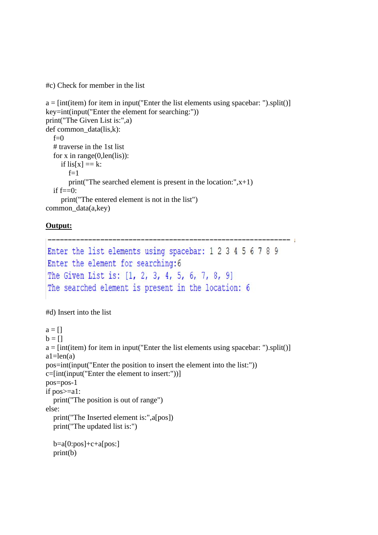#c) Check for member in the list

```
a = [int(item) for item in input("Enter the list elements using spacebar:").split()key=int(input("Enter the element for searching:"))
print("The Given List is:",a)
def common data(lis,k):
  f=0 # traverse in the 1st list 
  for x in range(0, len(lis)):
     if \text{lis}[\text{x}] == \text{k}:
        f=1print("The searched element is present in the location:",x+1)
  if f == 0:
      print("The entered element is not in the list")
common data(a,key)
```
## **Output:**

```
Enter the list elements using spacebar: 1 2 3 4 5 6 7 8 9
Enter the element for searching: 6
The Given List is: [1, 2, 3, 4, 5, 6, 7, 8, 9]
The searched element is present in the location: 6
```
--- 1

#d) Insert into the list

```
a = []b = \lceil \rceila = [int(item) for item in input("Enter the list elements using spacebar:").split()a1 = len(a)pos=int(input("Enter the position to insert the element into the list:"))
c=[int(input("Enter the element to insert:"))]
pos=pos-1
if pos>=a1:
   print("The position is out of range")
else:
   print("The Inserted element is:",a[pos])
   print("The updated list is:")
  b=a[0:pos]+c+a[pos:] print(b)
```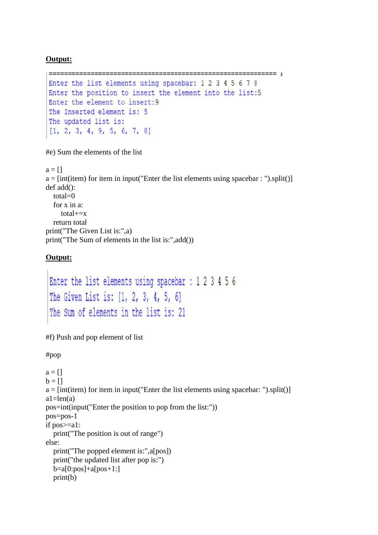```
=====Enter the list elements using spacebar: 1 2 3 4 5 6 7 8
Enter the position to insert the element into the list:5
Enter the element to insert:9
The Inserted element is: 5
The updated list is:
[1, 2, 3, 4, 9, 5, 6, 7, 8]
```
#e) Sum the elements of the list

 $a = \lceil \rceil$  $a = [int(item) for item in input("Enter the list elements using spacebar:").split()$ def add(): total=0 for x in a: total+=x return total print("The Given List is:",a) print("The Sum of elements in the list is:",add())

## **Output:**

```
Enter the list elements using spacebar : 1 2 3 4 5 6
The Given List is: [1, 2, 3, 4, 5, 6]
The Sum of elements in the list is: 21
```
#f) Push and pop element of list

#pop

 $a = \Pi$  $b = \Pi$  $a = [int(item) for item in input("Enter the list elements using spacebar:").split()$  $a1 = len(a)$ pos=int(input("Enter the position to pop from the list:")) pos=pos-1 if pos>=a1: print("The position is out of range") else: print("The popped element is:",a[pos]) print("the updated list after pop is:")  $b=a[0:pos]+a[pos+1:]$ print(b)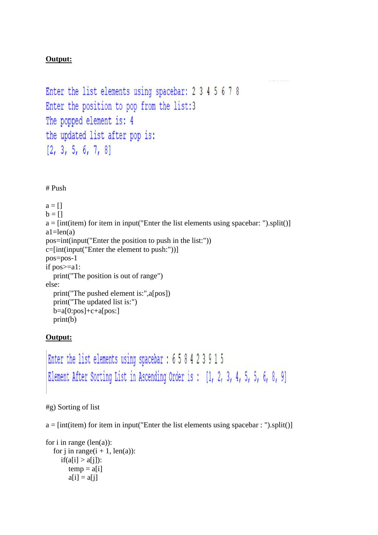```
Enter the list elements using spacebar: 2 3 4 5 6 7 8
Enter the position to pop from the list:3
The popped element is: 4
the updated list after pop is:
[2, 3, 5, 6, 7, 8]
```
# Push

 $a = []$  $b = \lceil \rceil$  $a = [int(item) for item in input("Enter the list elements using spacebar:").split()$  $a1 = len(a)$ pos=int(input("Enter the position to push in the list:")) c=[int(input("Enter the element to push:"))] pos=pos-1 if pos>=a1: print("The position is out of range") else: print("The pushed element is:",a[pos]) print("The updated list is:")  $b=a[0:pos]+c+a[pos:]$ print(b)

## **Output:**

```
Enter the list elements using spacebar: 6 5 8 4 2 3 9 1 5
Element After Sorting List in Ascending Order is: [1, 2, 3, 4, 5, 5, 6, 8, 9]
```
#g) Sorting of list

 $a = [int(item) for item in input("Enter the list elements using spacebar:").split()$ 

```
for i in range (len(a)):
  for j in range(i + 1, len(a)):
     if(a[i] > a[j]):
        temp = a[i]a[i] = a[i]
```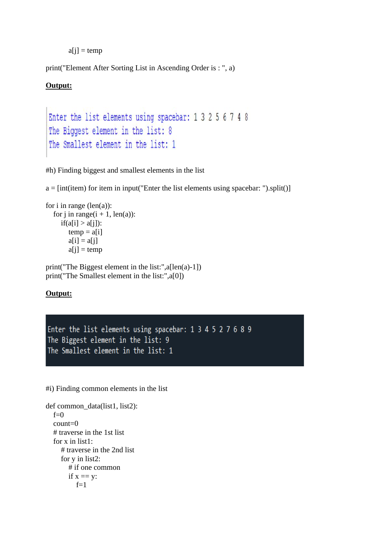$a[j] = temp$ 

print("Element After Sorting List in Ascending Order is : ", a)

#### **Output:**

```
Enter the list elements using spacebar: 1 3 2 5 6 7 4 8
The Biggest element in the list: 8
The Smallest element in the list: 1
```
#h) Finding biggest and smallest elements in the list

 $a = [int(item) for item in input("Enter the list elements using spacebar:").split()$ 

```
for i in range (len(a)):
  for j in range(i + 1, len(a)):
     if(a[i] > a[i]):
        temp = a[i]a[i] = a[i]a[i] = temp
```
print("The Biggest element in the list:",a[len(a)-1]) print("The Smallest element in the list:",a[0])

## **Output:**

Enter the list elements using spacebar: 1 3 4 5 2 7 6 8 9 The Biggest element in the list: 9 The Smallest element in the list: 1

#i) Finding common elements in the list

```
def common_data(list1, list2):
  f=0 count=0
   # traverse in the 1st list 
   for x in list1: 
      # traverse in the 2nd list 
      for y in list2: 
         # if one common 
        if x == y:
           f=1
```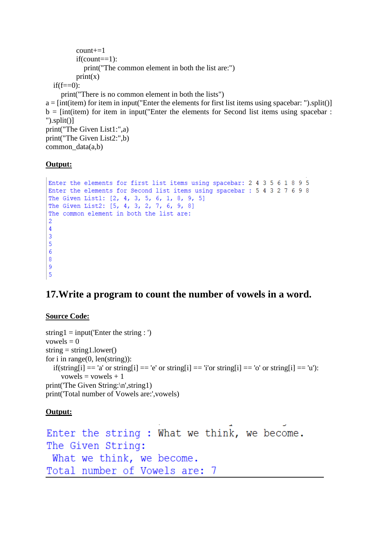```
count+=1 if(count==1):
             print("The common element in both the list are:")
          print(x)if(f == 0): print("There is no common element in both the lists")
a = [int(item) for item in input("Enter the elements for first list items using spacebar:").split()b = \text{int}(item) for item in input "Enter the elements for Second list items using spacebar :
").split()] 
print("The Given List1:",a)
print("The Given List2:",b)
common data(a,b)
```

```
Enter the elements for first list items using spacebar: 2 4 3 5 6 1 8 9 5
Enter the elements for Second list items using spacebar: 5 4 3 2 7 6 9 8
The Given List1: [2, 4, 3, 5, 6, 1, 8, 9, 5]
The Given List2: [5, 4, 3, 2, 7, 6, 9, 8]
The common element in both the list are:
\overline{2}\overline{4}\overline{3}\overline{5}6\phantom{1}68
9
\overline{5}
```
## **17.Write a program to count the number of vowels in a word.**

## **Source Code:**

```
string 1 = input('Enter the string :')vowels = 0string = string1.lower()for i in range(0, len(string)):
  if(string[i] == 'a' or string[i] == 'e' or string[i] == 'i'or string[i] == 'o' or string[i] == 'u'):
     vowels = vowels + 1print('The Given String:\n',string1)
print('Total number of Vowels are:',vowels)
```

```
Enter the string: What we think, we become.
The Given String:
What we think, we become.
Total number of Vowels are:
                            7
```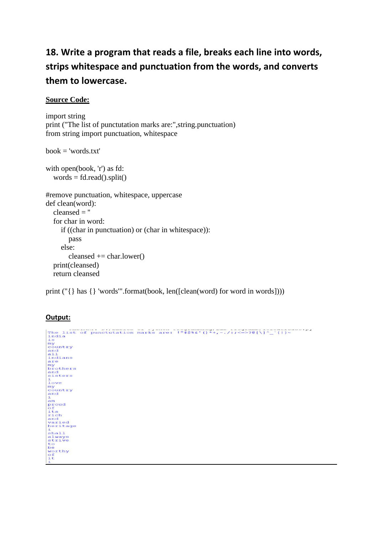# **18. Write a program that reads a file, breaks each line into words, strips whitespace and punctuation from the words, and converts them to lowercase.**

## **Source Code:**

```
import string
print ("The list of punctutation marks are:",string.punctuation)
from string import punctuation, whitespace
```

```
book = 'words.txt'
```

```
with open(book, 'r') as fd:
  words = fd.read().split()
```

```
#remove punctuation, whitespace, uppercase
def clean(word):
  cleansed = " for char in word:
      if ((char in punctuation) or (char in whitespace)):
        pass
     else:
       cleansed += char.lower() print(cleansed)
   return cleansed
```
print ("{} has {} 'words'".format(book, len([clean(word) for word in words])))

```
Output:<br>
The list of punctutation marks are: \frac{1}{100}<br>
\frac{1}{100}<br>
\frac{1}{100}<br>
\frac{1}{100}<br>
country<br>
country<br>
and<br>
and<br>
and<br>
and<br>
and<br>
my<br>
brothers<br>
ing<br>
brothers<br>
ing<br>
brothers<br>
ing<br>
ing<br>
ing<br>
ing<br>
ing<br>
ing<br>
ing<br>
i
 nove<br>my<br>country<br>and<br>i
```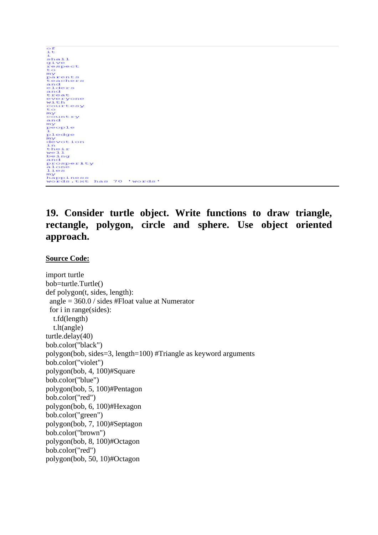|            | 'words' |
|------------|---------|
| prosperity | has 70  |

# **19. Consider turtle object. Write functions to draw triangle, rectangle, polygon, circle and sphere. Use object oriented approach.**

#### **Source Code:**

import turtle bob=turtle.Turtle() def polygon(t, sides, length): angle = 360.0 / sides #Float value at Numerator for i in range(sides): t.fd(length) t.lt(angle) turtle.delay(40) bob.color("black") polygon(bob, sides=3, length=100) #Triangle as keyword arguments bob.color("violet") polygon(bob, 4, 100)#Square bob.color("blue") polygon(bob, 5, 100)#Pentagon bob.color("red") polygon(bob, 6, 100)#Hexagon bob.color("green") polygon(bob, 7, 100)#Septagon bob.color("brown") polygon(bob, 8, 100)#Octagon bob.color("red") polygon(bob, 50, 10)#Octagon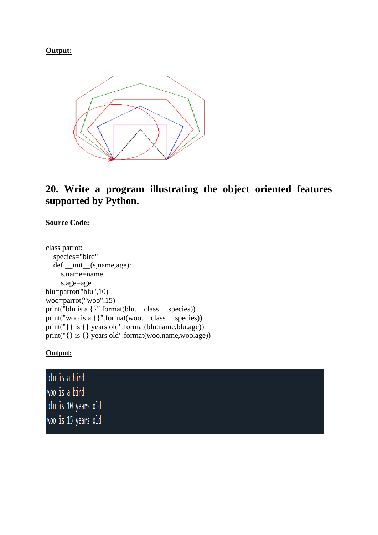

# **20. Write a program illustrating the object oriented features supported by Python.**

## **Source Code:**

class parrot: species="bird" def \_\_init\_\_(s,name,age): s.name=name s.age=age blu=parrot("blu",10) woo=parrot("woo",15) print("blu is a {}".format(blu.\_\_class\_\_.species)) print("woo is a  $\{$  {'".format(woo.\_\_class\_\_.species)) print("{} is {} years old".format(blu.name,blu.age)) print("{} is {} years old".format(woo.name,woo.age))

|  | blu is a bird       |  |  |  |  |  |
|--|---------------------|--|--|--|--|--|
|  | woo is a bird       |  |  |  |  |  |
|  | blu is 10 years old |  |  |  |  |  |
|  | woo is 15 years old |  |  |  |  |  |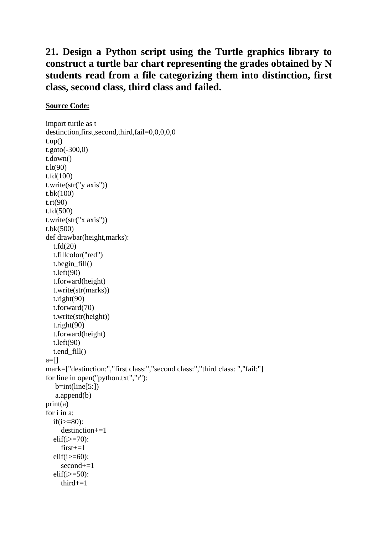# **21. Design a Python script using the Turtle graphics library to construct a turtle bar chart representing the grades obtained by N students read from a file categorizing them into distinction, first class, second class, third class and failed.**

## **Source Code:**

import turtle as t destinction,first,second,third,fail=0,0,0,0,0  $t.up()$ t.goto(-300,0) t.down() t.lt(90) t.fd(100) t.write(str("y axis")) t.bk(100) t.rt(90) t.fd(500) t.write(str("x axis")) t.bk(500) def drawbar(height,marks): t.fd(20) t.fillcolor("red") t.begin\_fill() t.left(90) t.forward(height) t.write(str(marks)) t.right(90) t.forward(70) t.write(str(height)) t.right(90) t.forward(height) t.left(90) t.end\_fill()  $a=$ [] mark=["destinction:","first class:","second class:","third class: ","fail:"] for line in open("python.txt","r"):  $b=int(line[5:])$  a.append(b) print(a) for i in a: if(i $>=$ 80): destinction+=1  $\text{elif}(i)=70$ :  $first+=1$ elif( $i>=60$ ): second+=1  $\text{elif}(i)=50$ : third+=1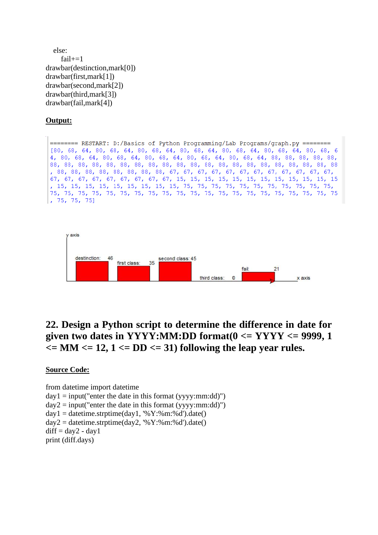```
 else:
    fail+=1drawbar(destinction,mark[0])
drawbar(first,mark[1])
drawbar(second,mark[2])
drawbar(third,mark[3])
drawbar(fail,mark[4])
```
======== RESTART: D:/Basics of Python Programming/Lab Programs/graph.py ======== [80, 68, 64, 80, 68, 64, 80, 68, 64, 80, 68, 64, 80, 68, 64, 80, 68, 64, 80, 68, 6 4, 80, 68, 64, 80, 68, 64, 80, 68, 64, 80, 68, 64, 80, 68, 64, 88, 88, 88, 88, 88,  $, 75, 75, 75]$ 



# **22. Design a Python script to determine the difference in date for given two dates in YYYY:MM:DD format(0 <= YYYY <= 9999, 1**   $\epsilon$  = MM  $\epsilon$  = 12, 1  $\epsilon$  = DD  $\epsilon$  = 31) following the leap year rules.

#### **Source Code:**

from datetime import datetime  $day1 = input("enter the date in this format (yyy;mm:dd)")$  $day2 = input("enter the date in this format (vyvy:mm:dd)")$  $day1 = datetime.strptime/day1, '%Y: %m: %d').date()$  $day2 = datetime.strptime/day2, '%Y$ :%m:%d').date()  $diff = day2 - day1$ print (diff.days)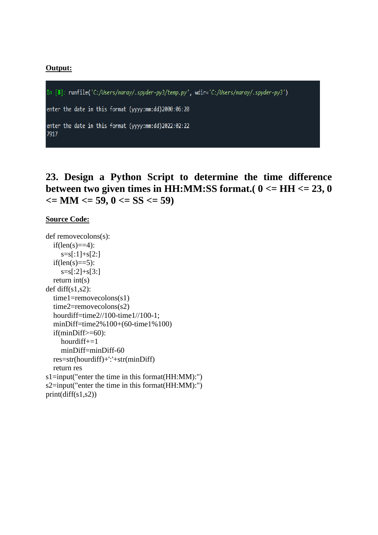In [8]: runfile('C:/Users/naray/.spyder-py3/temp.py', wdir='C:/Users/naray/.spyder-py3')

enter the date in this format (yyyy:mm:dd)2000:06:20

enter the date in this format (yyyy:mm:dd)2022:02:22 7917

# **23. Design a Python Script to determine the time difference between two given times in HH:MM:SS format.( 0 <= HH <= 23, 0**   $\epsilon = MM \le 59$ ,  $0 \le S \le 59$

#### **Source Code:**

```
def removecolons(s):
  if(len(s)=4):s=s[:1]+s[2:]if(len(s)=5): s=s[:2]+s[3:]
   return int(s)
def diff(s1,s2):
   time1=removecolons(s1)
   time2=removecolons(s2)
   hourdiff=time2//100-time1//100-1;
   minDiff=time2%100+(60-time1%100)
   if(minDiff>=60):
     hourdiff+=1
     minDiff=minDiff-60
   res=str(hourdiff)+':'+str(minDiff)
   return res
s1=input("enter the time in this format(HH:MM):")
s2=input("enter the time in this format(HH:MM):")
print(diff(s1,s2))
```